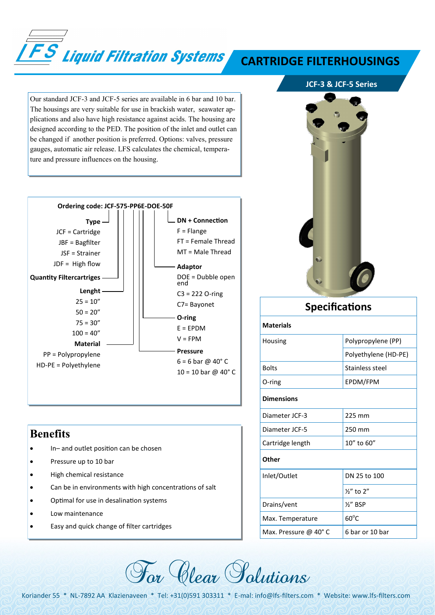

## **CARTRIDGE FILTERHOUSINGS**

**JCF-3 & JCF-5 Series**

Our standard JCF-3 and JCF-5 series are available in 6 bar and 10 bar. The housings are very suitable for use in brackish water, seawater applications and also have high resistance against acids. The housing are designed according to the PED. The position of the inlet and outlet can be changed if another position is preferred. Options: valves, pressure gauges, automatic air release. LFS calculates the chemical, temperature and pressure influences on the housing.



## **Benefits**

- In– and outlet position can be chosen
- Pressure up to 10 bar
- High chemical resistance
- Can be in environments with high concentrations of salt
- Optimal for use in desalination systems
- Low maintenance
- Easy and quick change of filter cartridges



![](_page_0_Picture_14.jpeg)

| <b>Specifications</b> |  |
|-----------------------|--|
|                       |  |

**Materials** 

| Housing              | Polypropylene (PP)   |  |  |  |
|----------------------|----------------------|--|--|--|
|                      | Polyethylene (HD-PE) |  |  |  |
| <b>Bolts</b>         | Stainless steel      |  |  |  |
| O-ring               | EPDM/FPM             |  |  |  |
| <b>Dimensions</b>    |                      |  |  |  |
| Diameter JCF-3       | 225 mm               |  |  |  |
| Diameter JCF-5       | 250 mm               |  |  |  |
| Cartridge length     | $10''$ to 60"        |  |  |  |
| Other                |                      |  |  |  |
| Inlet/Outlet         | DN 25 to 100         |  |  |  |
|                      | $\frac{1}{2}$ to 2"  |  |  |  |
| Drains/vent          | $\frac{1}{2}$ BSP    |  |  |  |
| Max. Temperature     | $60^{\circ}$ C       |  |  |  |
| Max. Pressure @ 40°C | 6 bar or 10 bar      |  |  |  |
|                      |                      |  |  |  |

Koriander 55 \* NL-7892 AA Klazienaveen \* Tel: +31(0)591 303311 \* E-mal: info@lfs-filters.com \* Website: www.lfs-filters.com